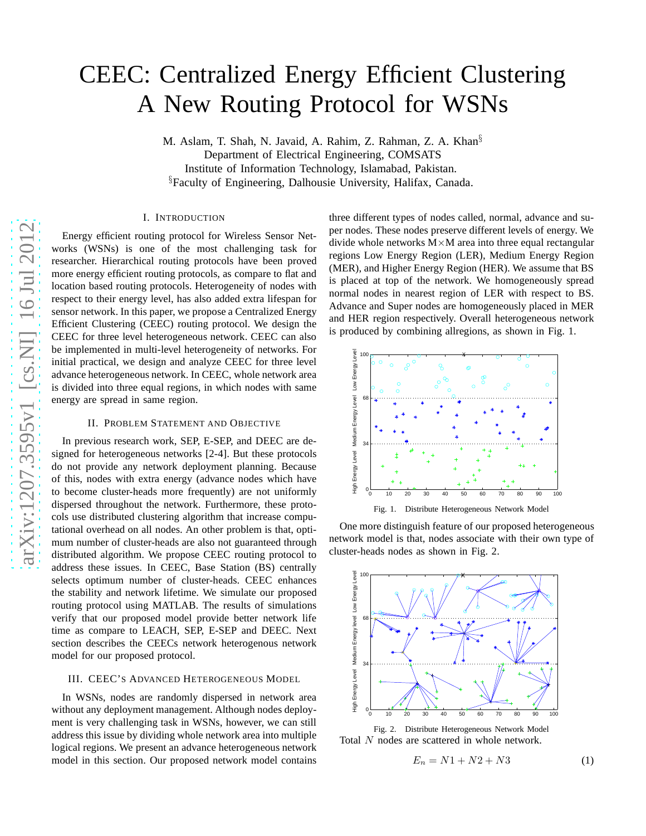# CEEC: Centralized Energy Efficient Clustering A New Routing Protocol for WSNs

M. Aslam, T. Shah, N. Javaid, A. Rahim, Z. Rahman, Z. A. Khan § Department of Electrical Engineering, COMSATS Institute of Information Technology, Islamabad, Pakistan . §Faculty of Engineering, Dalhousie University, Halifax, Canada.

## I. INTRODUCTION

Energy efficient routing protocol for Wireless Sensor Networks (WSNs) is one of the most challenging task for researcher. Hierarchical routing protocols have been proved more energy efficient routing protocols, as compare to flat an d location based routing protocols. Heterogeneity of nodes with respect to their energy level, has also added extra lifespan for sensor network. In this paper, we propose a Centralized Energy Efficient Clustering (CEEC) routing protocol. We design the CEEC for three level heterogeneous network. CEEC can also be implemented in multi-level heterogeneity of networks. For initial practical, we design and analyze CEEC for three leve l advance heterogeneous network. In CEEC, whole network area is divided into three equal regions, in which nodes with same energy are spread in same region.

## II. PROBLEM STATEMENT AND OBJECTIVE

In previous research work, SEP, E-SEP, and DEEC are designed for heterogeneous networks [2-4]. But these protocols do not provide any network deployment planning. Because of this, nodes with extra energy (advance nodes which have to become cluster-heads more frequently) are not uniformly dispersed throughout the network. Furthermore, these protocols use distributed clustering algorithm that increase computational overhead on all nodes. An other problem is that, optimum number of cluster-heads are also not guaranteed through distributed algorithm. We propose CEEC routing protocol to address these issues. In CEEC, Base Station (BS) centrally selects optimum number of cluster-heads. CEEC enhances the stability and network lifetime. We simulate our propose d routing protocol using MATLAB. The results of simulations verify that our proposed model provide better network life time as compare to LEACH, SEP, E-SEP and DEEC. Next section describes the CEECs network heterogenous network model for our proposed protocol.

## III. CEEC' S ADVANCED HETEROGENEOUS MODEL

In WSNs, nodes are randomly dispersed in network area without any deployment management. Although nodes deployment is very challenging task in WSNs, however, we can still address this issue by dividing whole network area into multiple logical regions. We present an advance heterogeneous network model in this section. Our proposed network model contains three different types of nodes called, normal, advance and super nodes. These nodes preserve different levels of energy. We divide whole networks  $M \times M$  area into three equal rectangular regions Low Energy Region (LER), Medium Energy Region (MER), and Higher Energy Region (HER). We assume that BS is placed at top of the network. We homogeneously spread normal nodes in nearest region of LER with respect to BS. Advance and Super nodes are homogeneously placed in MER and HER region respectively. Overall heterogeneous networ k is produced by combining allregions, as shown in Fig. 1.



Fig. 1. Distribute Heterogeneous Network Model

One more distinguish feature of our proposed heterogeneous network model is that, nodes associate with their own type of cluster-heads nodes as shown in Fig. 2.



Fig. 2. Distribute Heterogeneous Network Model Total N nodes are scattered in whole network.

$$
E_n = N1 + N2 + N3\tag{1}
$$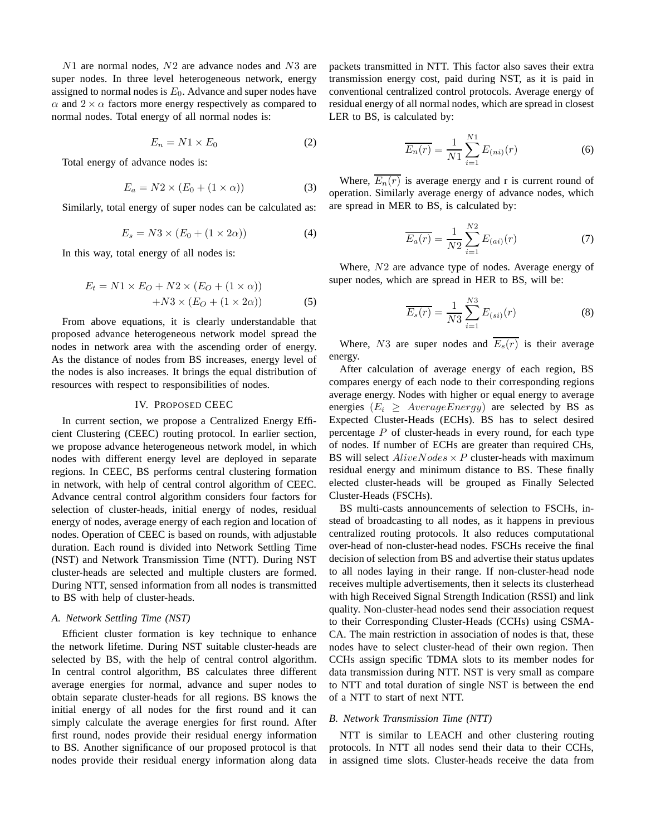N1 are normal nodes, N2 are advance nodes and N3 are super nodes. In three level heterogeneous network, energy assigned to normal nodes is  $E_0$ . Advance and super nodes have  $\alpha$  and  $2 \times \alpha$  factors more energy respectively as compared to normal nodes. Total energy of all normal nodes is:

$$
E_n = N1 \times E_0 \tag{2}
$$

Total energy of advance nodes is:

$$
E_a = N2 \times (E_0 + (1 \times \alpha))
$$
 (3)

Similarly, total energy of super nodes can be calculated as:

$$
E_s = N3 \times (E_0 + (1 \times 2\alpha))
$$
 (4)

In this way, total energy of all nodes is:

$$
E_t = N1 \times E_O + N2 \times (E_O + (1 \times \alpha))
$$
  
+
$$
N3 \times (E_O + (1 \times 2\alpha))
$$
 (5)

From above equations, it is clearly understandable that proposed advance heterogeneous network model spread the nodes in network area with the ascending order of energy. As the distance of nodes from BS increases, energy level of the nodes is also increases. It brings the equal distribution of resources with respect to responsibilities of nodes.

#### IV. PROPOSED CEEC

In current section, we propose a Centralized Energy Efficient Clustering (CEEC) routing protocol. In earlier section, we propose advance heterogeneous network model, in which nodes with different energy level are deployed in separate regions. In CEEC, BS performs central clustering formation in network, with help of central control algorithm of CEEC. Advance central control algorithm considers four factors for selection of cluster-heads, initial energy of nodes, residual energy of nodes, average energy of each region and location of nodes. Operation of CEEC is based on rounds, with adjustable duration. Each round is divided into Network Settling Time (NST) and Network Transmission Time (NTT). During NST cluster-heads are selected and multiple clusters are formed. During NTT, sensed information from all nodes is transmitted to BS with help of cluster-heads.

#### *A. Network Settling Time (NST)*

Efficient cluster formation is key technique to enhance the network lifetime. During NST suitable cluster-heads are selected by BS, with the help of central control algorithm. In central control algorithm, BS calculates three different average energies for normal, advance and super nodes to obtain separate cluster-heads for all regions. BS knows the initial energy of all nodes for the first round and it can simply calculate the average energies for first round. After first round, nodes provide their residual energy information to BS. Another significance of our proposed protocol is that nodes provide their residual energy information along data

packets transmitted in NTT. This factor also saves their extra transmission energy cost, paid during NST, as it is paid in conventional centralized control protocols. Average energy of residual energy of all normal nodes, which are spread in closest LER to BS, is calculated by:

$$
\overline{E_n(r)} = \frac{1}{N1} \sum_{i=1}^{N1} E_{(ni)}(r)
$$
\n(6)

Where,  $\overline{E_n(r)}$  is average energy and r is current round of operation. Similarly average energy of advance nodes, which are spread in MER to BS, is calculated by:

$$
\overline{E_a(r)} = \frac{1}{N2} \sum_{i=1}^{N2} E_{(ai)}(r)
$$
 (7)

Where,  $N2$  are advance type of nodes. Average energy of super nodes, which are spread in HER to BS, will be:

$$
\overline{E_s(r)} = \frac{1}{N3} \sum_{i=1}^{N3} E_{(si)}(r)
$$
 (8)

Where, N3 are super nodes and  $\overline{E_s(r)}$  is their average energy.

After calculation of average energy of each region, BS compares energy of each node to their corresponding regions average energy. Nodes with higher or equal energy to average energies  $(E_i \geq AverageEnergy)$  are selected by BS as Expected Cluster-Heads (ECHs). BS has to select desired percentage  $P$  of cluster-heads in every round, for each type of nodes. If number of ECHs are greater than required CHs, BS will select  $AliveNodes \times P$  cluster-heads with maximum residual energy and minimum distance to BS. These finally elected cluster-heads will be grouped as Finally Selected Cluster-Heads (FSCHs).

BS multi-casts announcements of selection to FSCHs, instead of broadcasting to all nodes, as it happens in previous centralized routing protocols. It also reduces computational over-head of non-cluster-head nodes. FSCHs receive the final decision of selection from BS and advertise their status updates to all nodes laying in their range. If non-cluster-head node receives multiple advertisements, then it selects its clusterhead with high Received Signal Strength Indication (RSSI) and link quality. Non-cluster-head nodes send their association request to their Corresponding Cluster-Heads (CCHs) using CSMA-CA. The main restriction in association of nodes is that, these nodes have to select cluster-head of their own region. Then CCHs assign specific TDMA slots to its member nodes for data transmission during NTT. NST is very small as compare to NTT and total duration of single NST is between the end of a NTT to start of next NTT.

## *B. Network Transmission Time (NTT)*

NTT is similar to LEACH and other clustering routing protocols. In NTT all nodes send their data to their CCHs, in assigned time slots. Cluster-heads receive the data from